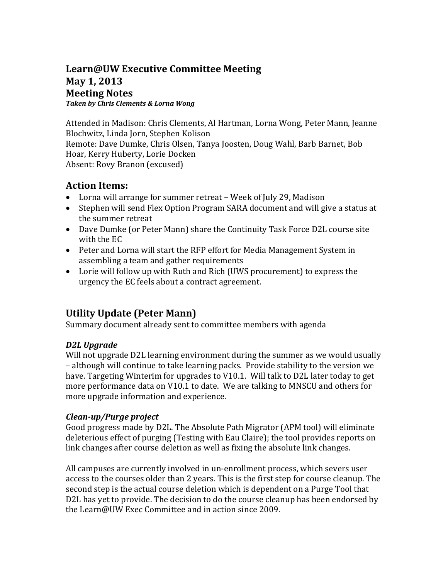### **Learn@UW Executive Committee Meeting May 1, 2013 Meeting Notes**  *Taken by Chris Clements & Lorna Wong*

Attended in Madison: Chris Clements, Al Hartman, Lorna Wong, Peter Mann, Jeanne Blochwitz, Linda Jorn, Stephen Kolison Remote: Dave Dumke, Chris Olsen, Tanya Joosten, Doug Wahl, Barb Barnet, Bob Hoar, Kerry Huberty, Lorie Docken Absent: Rovy Branon (excused)

### **Action Items:**

- Lorna will arrange for summer retreat Week of July 29, Madison
- Stephen will send Flex Option Program SARA document and will give a status at the summer retreat
- Dave Dumke (or Peter Mann) share the Continuity Task Force D2L course site with the EC
- Peter and Lorna will start the RFP effort for Media Management System in assembling a team and gather requirements
- Lorie will follow up with Ruth and Rich (UWS procurement) to express the urgency the EC feels about a contract agreement.

# **Utility Update (Peter Mann)**

Summary document already sent to committee members with agenda

### *D2L Upgrade*

Will not upgrade D2L learning environment during the summer as we would usually – although will continue to take learning packs. Provide stability to the version we have. Targeting Winterim for upgrades to V10.1. Will talk to D2L later today to get more performance data on V10.1 to date. We are talking to MNSCU and others for more upgrade information and experience.

### *Clean-up/Purge project*

Good progress made by D2L. The Absolute Path Migrator (APM tool) will eliminate deleterious effect of purging (Testing with Eau Claire); the tool provides reports on link changes after course deletion as well as fixing the absolute link changes.

All campuses are currently involved in un-enrollment process, which severs user access to the courses older than 2 years. This is the first step for course cleanup. The second step is the actual course deletion which is dependent on a Purge Tool that D2L has yet to provide. The decision to do the course cleanup has been endorsed by the Learn@UW Exec Committee and in action since 2009.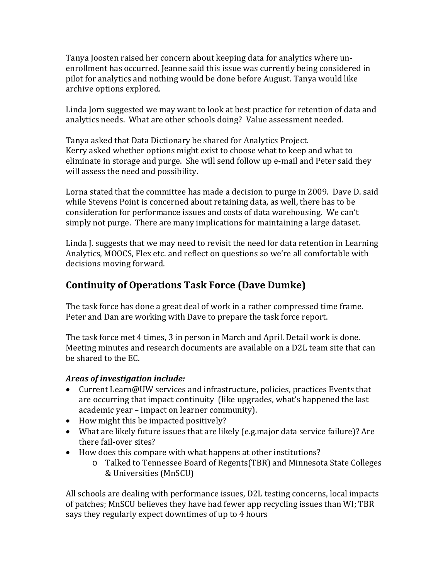Tanya Joosten raised her concern about keeping data for analytics where unenrollment has occurred. Jeanne said this issue was currently being considered in pilot for analytics and nothing would be done before August. Tanya would like archive options explored.

Linda Jorn suggested we may want to look at best practice for retention of data and analytics needs. What are other schools doing? Value assessment needed.

Tanya asked that Data Dictionary be shared for Analytics Project. Kerry asked whether options might exist to choose what to keep and what to eliminate in storage and purge. She will send follow up e-mail and Peter said they will assess the need and possibility.

Lorna stated that the committee has made a decision to purge in 2009. Dave D. said while Stevens Point is concerned about retaining data, as well, there has to be consideration for performance issues and costs of data warehousing. We can't simply not purge. There are many implications for maintaining a large dataset.

Linda J. suggests that we may need to revisit the need for data retention in Learning Analytics, MOOCS, Flex etc. and reflect on questions so we're all comfortable with decisions moving forward.

# **Continuity of Operations Task Force (Dave Dumke)**

The task force has done a great deal of work in a rather compressed time frame. Peter and Dan are working with Dave to prepare the task force report.

The task force met 4 times, 3 in person in March and April. Detail work is done. Meeting minutes and research documents are available on a D2L team site that can be shared to the EC.

### *Areas of investigation include:*

- Current Learn@UW services and infrastructure, policies, practices Events that are occurring that impact continuity (like upgrades, what's happened the last academic year – impact on learner community).
- How might this be impacted positively?
- What are likely future issues that are likely (e.g.major data service failure)? Are there fail-over sites?
- How does this compare with what happens at other institutions?
	- o Talked to Tennessee Board of Regents(TBR) and Minnesota State Colleges & Universities (MnSCU)

All schools are dealing with performance issues, D2L testing concerns, local impacts of patches; MnSCU believes they have had fewer app recycling issues than WI; TBR says they regularly expect downtimes of up to 4 hours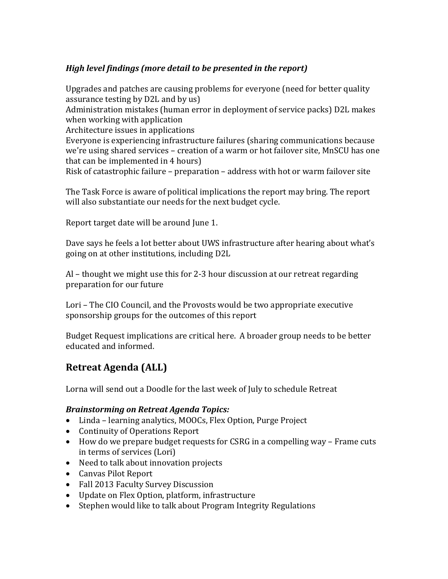### *High level findings (more detail to be presented in the report)*

Upgrades and patches are causing problems for everyone (need for better quality assurance testing by D2L and by us) Administration mistakes (human error in deployment of service packs) D2L makes when working with application Architecture issues in applications Everyone is experiencing infrastructure failures (sharing communications because we're using shared services – creation of a warm or hot failover site, MnSCU has one that can be implemented in 4 hours) Risk of catastrophic failure – preparation – address with hot or warm failover site

The Task Force is aware of political implications the report may bring. The report will also substantiate our needs for the next budget cycle.

Report target date will be around June 1.

Dave says he feels a lot better about UWS infrastructure after hearing about what's going on at other institutions, including D2L

Al – thought we might use this for 2-3 hour discussion at our retreat regarding preparation for our future

Lori – The CIO Council, and the Provosts would be two appropriate executive sponsorship groups for the outcomes of this report

Budget Request implications are critical here. A broader group needs to be better educated and informed.

# **Retreat Agenda (ALL)**

Lorna will send out a Doodle for the last week of July to schedule Retreat

#### *Brainstorming on Retreat Agenda Topics:*

- Linda learning analytics, MOOCs, Flex Option, Purge Project
- Continuity of Operations Report
- How do we prepare budget requests for CSRG in a compelling way Frame cuts in terms of services (Lori)
- Need to talk about innovation projects
- Canvas Pilot Report
- Fall 2013 Faculty Survey Discussion
- Update on Flex Option, platform, infrastructure
- Stephen would like to talk about Program Integrity Regulations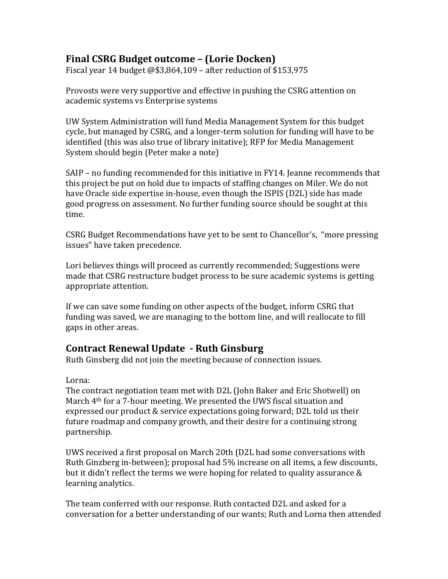### **Final CSRG Budget outcome – (Lorie Docken)**

Fiscal year 14 budget @\$3,864,109 – after reduction of \$153,975

Provosts were very supportive and effective in pushing the CSRG attention on academic systems vs Enterprise systems

UW System Administration will fund Media Management System for this budget cycle, but managed by CSRG, and a longer-term solution for funding will have to be identified (this was also true of library initative); RFP for Media Management System should begin (Peter make a note)

SAIP – no funding recommended for this initiative in FY14. Jeanne recommends that this project be put on hold due to impacts of staffing changes on Miler. We do not have Oracle side expertise in-house, even though the ISPIS (D2L) side has made good progress on assessment. No further funding source should be sought at this time.

CSRG Budget Recommendations have yet to be sent to Chancellor's, "more pressing issues" have taken precedence.

Lori believes things will proceed as currently recommended; Suggestions were made that CSRG restructure budget process to be sure academic systems is getting appropriate attention.

If we can save some funding on other aspects of the budget, inform CSRG that funding was saved, we are managing to the bottom line, and will reallocate to fill gaps in other areas.

### **Contract Renewal Update - Ruth Ginsburg**

Ruth Ginsberg did not join the meeting because of connection issues.

Lorna:

The contract negotiation team met with D2L (John Baker and Eric Shotwell) on March 4th for a 7-hour meeting. We presented the UWS fiscal situation and expressed our product & service expectations going forward; D2L told us their future roadmap and company growth, and their desire for a continuing strong partnership.

UWS received a first proposal on March 20th (D2L had some conversations with Ruth Ginzberg in-between); proposal had 5% increase on all items, a few discounts, but it didn't reflect the terms we were hoping for related to quality assurance & learning analytics.

The team conferred with our response. Ruth contacted D2L and asked for a conversation for a better understanding of our wants; Ruth and Lorna then attended